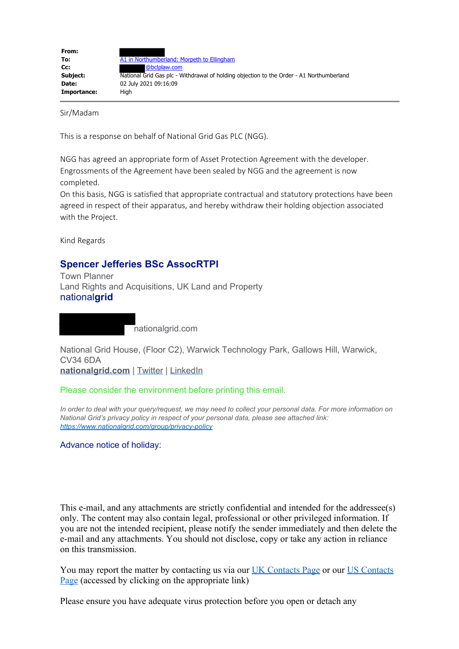| From:       |                                                                                          |
|-------------|------------------------------------------------------------------------------------------|
| To:         | A1 in Northumberland: Morpeth to Ellingham                                               |
| cc:         | @bclplaw.com                                                                             |
| Subject:    | National Grid Gas plc - Withdrawal of holding objection to the Order - A1 Northumberland |
| Date:       | 02 July 2021 09:16:09                                                                    |
| Importance: | Hiah                                                                                     |

Sir/Madam

This is a response on behalf of National Grid Gas PLC (NGG).

NGG has agreed an appropriate form of Asset Protection Agreement with the developer. Engrossments of the Agreement have been sealed by NGG and the agreement is now completed.

On this basis, NGG is satisfied that appropriate contractual and statutory protections have been agreed in respect of their apparatus, and hereby withdraw their holding objection associated with the Project.

Kind Regards

## **Spencer Jefferies BSc AssocRTPI**

Town Planner Land Rights and Acquisitions, UK Land and Property national**grid**

nationalgrid.com

National Grid House, (Floor C2), Warwick Technology Park, Gallows Hill, Warwick, CV34 6DA

**[nationalgrid.com](https://gbr01.safelinks.protection.outlook.com/?url=https%3A%2F%2Fwww.nationalgrid.com%2F&data=04%7C01%7CA1inNorthumberland%40planninginspectorate.gov.uk%7C20fe41178594422db81808d93d31a47e%7C5878df986f8848ab9322998ce557088d%7C0%7C0%7C637608105689633600%7CUnknown%7CTWFpbGZsb3d8eyJWIjoiMC4wLjAwMDAiLCJQIjoiV2luMzIiLCJBTiI6Ik1haWwiLCJXVCI6Mn0%3D%7C1000&sdata=n3vrUH%2FOWbLTKS5EzWB8JhQ%2BGCj%2BtvMbB5dXDQ8066k%3D&reserved=0)** | [Twitter](https://gbr01.safelinks.protection.outlook.com/?url=https%3A%2F%2Ftwitter.com%2Fnationalgriduk%3Flang%3Den&data=04%7C01%7CA1inNorthumberland%40planninginspectorate.gov.uk%7C20fe41178594422db81808d93d31a47e%7C5878df986f8848ab9322998ce557088d%7C0%7C0%7C637608105689643557%7CUnknown%7CTWFpbGZsb3d8eyJWIjoiMC4wLjAwMDAiLCJQIjoiV2luMzIiLCJBTiI6Ik1haWwiLCJXVCI6Mn0%3D%7C1000&sdata=t6IpT7JaUYclNqhBNJp7A3sOhnELjauC0nzb9rIScJw%3D&reserved=0) | [LinkedIn](https://gbr01.safelinks.protection.outlook.com/?url=https%3A%2F%2Fuk.linkedin.com%2Fcompany%2Fnational-grid&data=04%7C01%7CA1inNorthumberland%40planninginspectorate.gov.uk%7C20fe41178594422db81808d93d31a47e%7C5878df986f8848ab9322998ce557088d%7C0%7C0%7C637608105689653513%7CUnknown%7CTWFpbGZsb3d8eyJWIjoiMC4wLjAwMDAiLCJQIjoiV2luMzIiLCJBTiI6Ik1haWwiLCJXVCI6Mn0%3D%7C1000&sdata=abkgsfmR6t%2FYdzAPeLmRB2RN%2BhwFEwjADpoUxwQVWbU%3D&reserved=0)

Please consider the environment before printing this email.

*In order to deal with your query/request, we may need to collect your personal data. For more information on National Grid's privacy policy in respect of your personal data, please see attached link: [https://www.nationalgrid.com/group/privacy-policy](https://gbr01.safelinks.protection.outlook.com/?url=https%3A%2F%2Fwww.nationalgrid.com%2Fgroup%2Fprivacy-policy&data=04%7C01%7CA1inNorthumberland%40planninginspectorate.gov.uk%7C20fe41178594422db81808d93d31a47e%7C5878df986f8848ab9322998ce557088d%7C0%7C0%7C637608105689653513%7CUnknown%7CTWFpbGZsb3d8eyJWIjoiMC4wLjAwMDAiLCJQIjoiV2luMzIiLCJBTiI6Ik1haWwiLCJXVCI6Mn0%3D%7C1000&sdata=b%2BBcWsvAaMKVjefmNLJzk%2F1sfR6KJ7lVYkRWIaFncRo%3D&reserved=0)*

Advance notice of holiday:

This e-mail, and any attachments are strictly confidential and intended for the addressee(s) only. The content may also contain legal, professional or other privileged information. If you are not the intended recipient, please notify the sender immediately and then delete the e-mail and any attachments. You should not disclose, copy or take any action in reliance on this transmission.

You may report the matter by contacting us via our [UK Contacts Page](https://gbr01.safelinks.protection.outlook.com/?url=http%3A%2F%2Fwww2.nationalgrid.com%2Fcontact-us%2F&data=04%7C01%7CA1inNorthumberland%40planninginspectorate.gov.uk%7C20fe41178594422db81808d93d31a47e%7C5878df986f8848ab9322998ce557088d%7C0%7C0%7C637608105689663469%7CUnknown%7CTWFpbGZsb3d8eyJWIjoiMC4wLjAwMDAiLCJQIjoiV2luMzIiLCJBTiI6Ik1haWwiLCJXVCI6Mn0%3D%7C1000&sdata=MZNSCGcRiH4G3qjg9RCMIyTcaWwoZQeYXooG%2BH6bSf8%3D&reserved=0) or our [US Contacts](https://gbr01.safelinks.protection.outlook.com/?url=https%3A%2F%2Fwww1.nationalgridus.com%2FContactUs&data=04%7C01%7CA1inNorthumberland%40planninginspectorate.gov.uk%7C20fe41178594422db81808d93d31a47e%7C5878df986f8848ab9322998ce557088d%7C0%7C0%7C637608105689663469%7CUnknown%7CTWFpbGZsb3d8eyJWIjoiMC4wLjAwMDAiLCJQIjoiV2luMzIiLCJBTiI6Ik1haWwiLCJXVCI6Mn0%3D%7C1000&sdata=ud0RcKtrNJcd7pBex5%2FNQjX1rJlFDIQvqHqRQ6l%2BcGQ%3D&reserved=0) [Page](https://gbr01.safelinks.protection.outlook.com/?url=https%3A%2F%2Fwww1.nationalgridus.com%2FContactUs&data=04%7C01%7CA1inNorthumberland%40planninginspectorate.gov.uk%7C20fe41178594422db81808d93d31a47e%7C5878df986f8848ab9322998ce557088d%7C0%7C0%7C637608105689663469%7CUnknown%7CTWFpbGZsb3d8eyJWIjoiMC4wLjAwMDAiLCJQIjoiV2luMzIiLCJBTiI6Ik1haWwiLCJXVCI6Mn0%3D%7C1000&sdata=ud0RcKtrNJcd7pBex5%2FNQjX1rJlFDIQvqHqRQ6l%2BcGQ%3D&reserved=0) (accessed by clicking on the appropriate link)

Please ensure you have adequate virus protection before you open or detach any